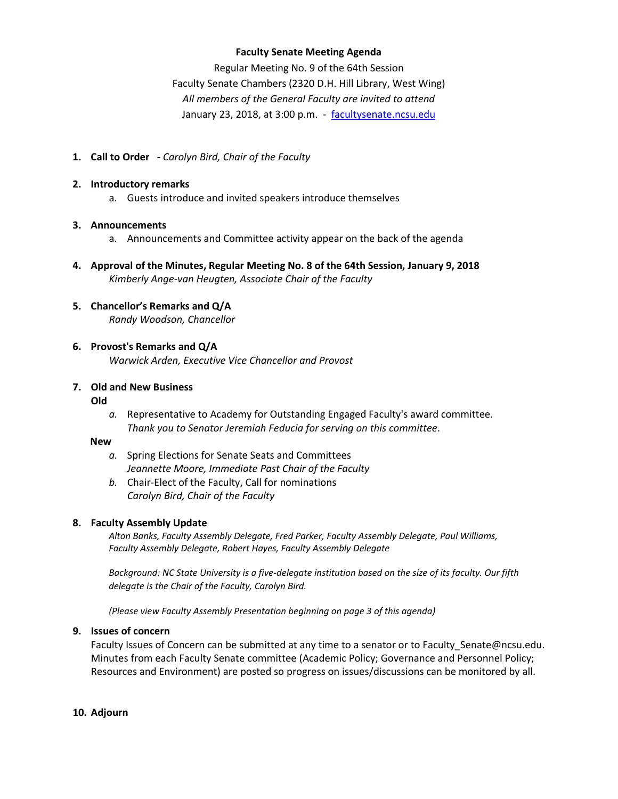### **Faculty Senate Meeting Agenda**

Regular Meeting No. 9 of the 64th Session Faculty Senate Chambers (2320 D.H. Hill Library, West Wing) *All members of the General Faculty are invited to attend* January 23, 2018, at 3:00 p.m. - [facultysenate.ncsu.edu](https://facultysenate.ncsu.edu/)

**1. Call to Order -** *Carolyn Bird, Chair of the Faculty*

### **2. Introductory remarks**

a. Guests introduce and invited speakers introduce themselves

### **3. Announcements**

- a. Announcements and Committee activity appear on the back of the agenda
- **4. Approval of the Minutes, Regular Meeting No. 8 of the 64th Session, January 9, 2018** *Kimberly Ange-van Heugten, Associate Chair of the Faculty*

### **5. Chancellor's Remarks and Q/A** *Randy Woodson, Chancellor*

### **6. Provost's Remarks and Q/A** *Warwick Arden, Executive Vice Chancellor and Provost*

#### **7. Old and New Business Old**

*a.* Representative to Academy for Outstanding Engaged Faculty's award committee. *Thank you to Senator Jeremiah Feducia for serving on this committee*.

### **New**

- *a.* Spring Elections for Senate Seats and Committees *Jeannette Moore, Immediate Past Chair of the Faculty*
- *b.* Chair-Elect of the Faculty, Call for nominations *Carolyn Bird, Chair of the Faculty*

### **8. Faculty Assembly Update**

*Alton Banks, Faculty Assembly Delegate, Fred Parker, Faculty Assembly Delegate, Paul Williams, Faculty Assembly Delegate, Robert Hayes, Faculty Assembly Delegate* 

*Background: NC State University is a five-delegate institution based on the size of its faculty. Our fifth delegate is the Chair of the Faculty, Carolyn Bird.*

*(Please view Faculty Assembly Presentation beginning on page 3 of this agenda)*

### **9. Issues of concern**

Faculty Issues of Concern can be submitted at any time to a senator or to Faculty\_Senate@ncsu.edu. Minutes from each Faculty Senate committee (Academic Policy; Governance and Personnel Policy; Resources and Environment) are posted so progress on issues/discussions can be monitored by all.

### **10. Adjourn**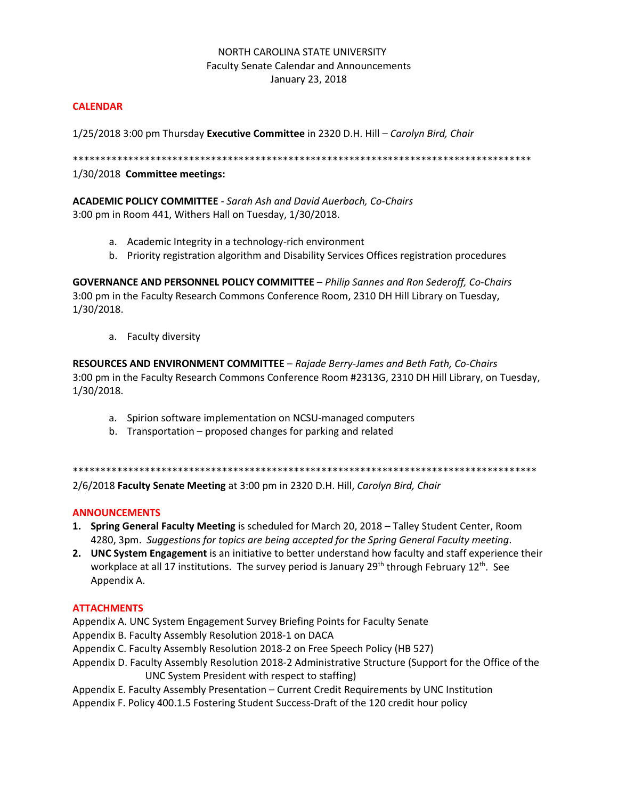### NORTH CAROLINA STATE UNIVERSITY Faculty Senate Calendar and Announcements January 23, 2018

### **CALENDAR**

1/25/2018 3:00 pm Thursday **Executive Committee** in 2320 D.H. Hill *– Carolyn Bird, Chair*

\*\*\*\*\*\*\*\*\*\*\*\*\*\*\*\*\*\*\*\*\*\*\*\*\*\*\*\*\*\*\*\*\*\*\*\*\*\*\*\*\*\*\*\*\*\*\*\*\*\*\*\*\*\*\*\*\*\*\*\*\*\*\*\*\*\*\*\*\*\*\*\*\*\*\*\*\*\*\*\*\*\*\*

1/30/2018 **Committee meetings:**

**ACADEMIC POLICY COMMITTEE** - *Sarah Ash and David Auerbach, Co-Chairs* 3:00 pm in Room 441, Withers Hall on Tuesday, 1/30/2018.

- a. Academic Integrity in a technology-rich environment
- b. Priority registration algorithm and Disability Services Offices registration procedures

**GOVERNANCE AND PERSONNEL POLICY COMMITTEE** – *Philip Sannes and Ron Sederoff, Co-Chairs* 3:00 pm in the Faculty Research Commons Conference Room, 2310 DH Hill Library on Tuesday, 1/30/2018.

a. Faculty diversity

**RESOURCES AND ENVIRONMENT COMMITTEE** – *Rajade Berry-James and Beth Fath, Co-Chairs*  3:00 pm in the Faculty Research Commons Conference Room #2313G, 2310 DH Hill Library, on Tuesday, 1/30/2018.

- a. Spirion software implementation on NCSU-managed computers
- b. Transportation proposed changes for parking and related

\*\*\*\*\*\*\*\*\*\*\*\*\*\*\*\*\*\*\*\*\*\*\*\*\*\*\*\*\*\*\*\*\*\*\*\*\*\*\*\*\*\*\*\*\*\*\*\*\*\*\*\*\*\*\*\*\*\*\*\*\*\*\*\*\*\*\*\*\*\*\*\*\*\*\*\*\*\*\*\*\*\*\*\*

2/6/2018 **Faculty Senate Meeting** at 3:00 pm in 2320 D.H. Hill, *Carolyn Bird, Chair*

### **ANNOUNCEMENTS**

- **1. Spring General Faculty Meeting** is scheduled for March 20, 2018 Talley Student Center, Room 4280, 3pm. *Suggestions for topics are being accepted for the Spring General Faculty meeting*.
- **2. UNC System Engagement** is an initiative to better understand how faculty and staff experience their workplace at all 17 institutions. The survey period is January  $29^{th}$  through February  $12^{th}$ . See Appendix A.

### **ATTACHMENTS**

- Appendix A. UNC System Engagement Survey Briefing Points for Faculty Senate
- Appendix B. Faculty Assembly Resolution 2018-1 on DACA
- Appendix C. Faculty Assembly Resolution 2018-2 on Free Speech Policy (HB 527)
- Appendix D. Faculty Assembly Resolution 2018-2 Administrative Structure (Support for the Office of the UNC System President with respect to staffing)
- Appendix E. Faculty Assembly Presentation Current Credit Requirements by UNC Institution
- Appendix F. Policy 400.1.5 Fostering Student Success-Draft of the 120 credit hour policy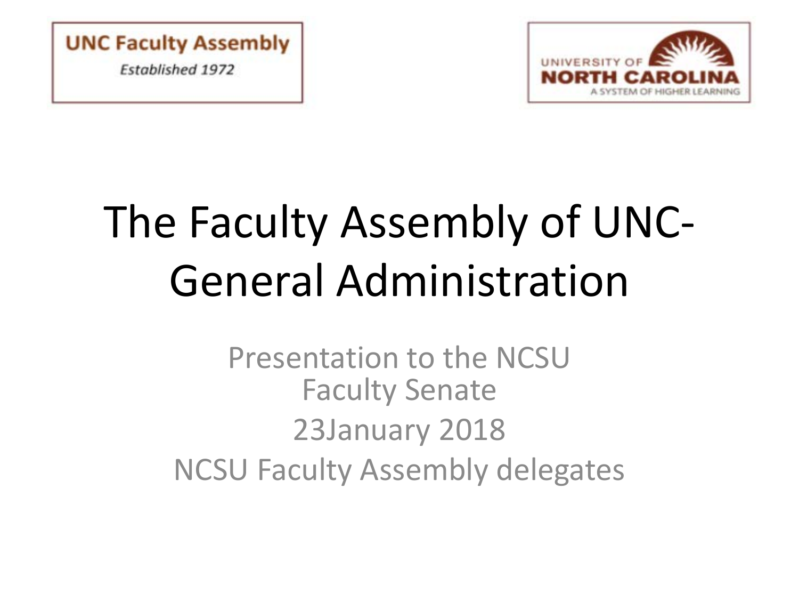**UNC Faculty Assembly Established 1972** 



# The Faculty Assembly of UNC-General Administration

Presentation to the NCSU Faculty Senate 23January 2018 NCSU Faculty Assembly delegates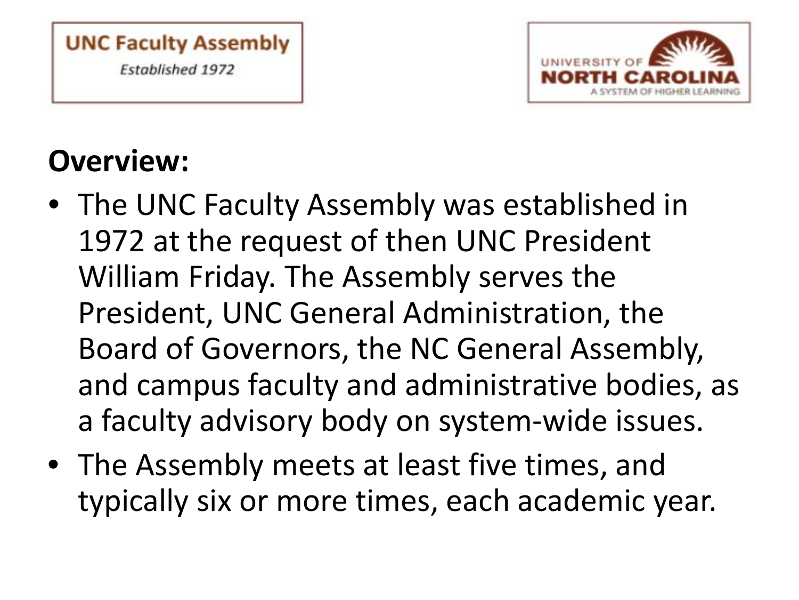



# **Overview:**

- The UNC Faculty Assembly was established in 1972 at the request of then UNC President William Friday. The Assembly serves the President, UNC General Administration, the Board of Governors, the NC General Assembly, and campus faculty and administrative bodies, as a faculty advisory body on system-wide issues.
- The Assembly meets at least five times, and typically six or more times, each academic year.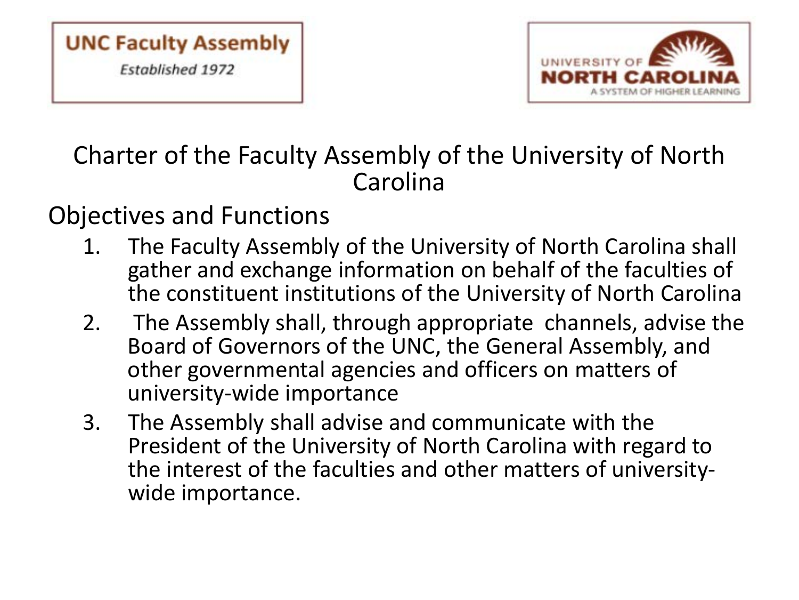

## Charter of the Faculty Assembly of the University of North Carolina

### Objectives and Functions

- 1. The Faculty Assembly of the University of North Carolina shall gather and exchange information on behalf of the faculties of the constituent institutions of the University of North Carolina
- 2. The Assembly shall, through appropriate channels, advise the Board of Governors of the UNC, the General Assembly, and other governmental agencies and officers on matters of university-wide importance
- 3. The Assembly shall advise and communicate with the President of the University of North Carolina with regard to the interest of the faculties and other matters of university- wide importance.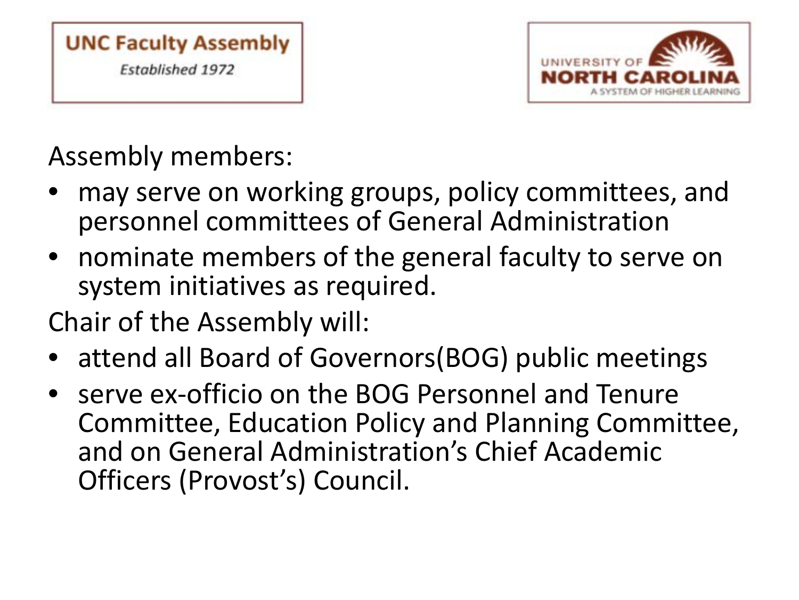



# Assembly members:

- may serve on working groups, policy committees, and personnel committees of General Administration
- nominate members of the general faculty to serve on system initiatives as required.
- Chair of the Assembly will:
- attend all Board of Governors(BOG) public meetings
- serve ex-officio on the BOG Personnel and Tenure Committee, Education Policy and Planning Committee, and on General Administration's Chief Academic Officers (Provost's) Council.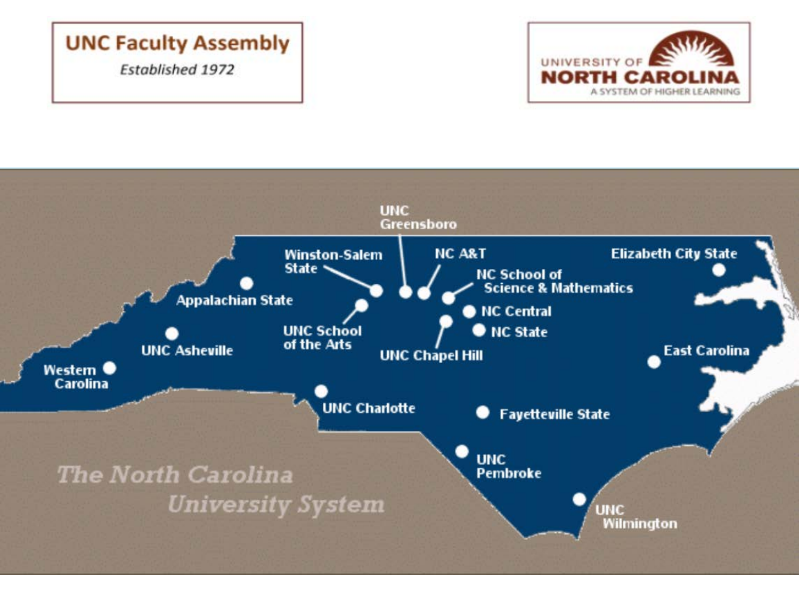### **UNC Faculty Assembly**

**Established 1972** 



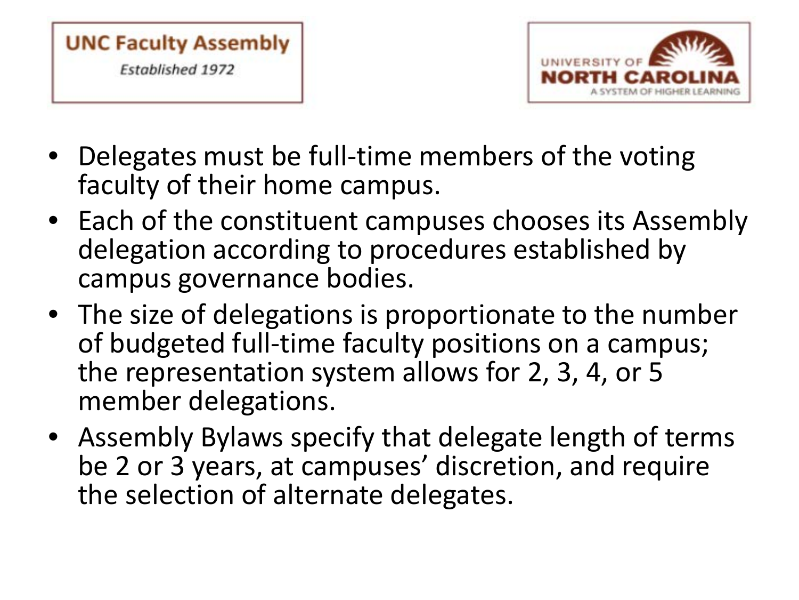



- Delegates must be full-time members of the voting faculty of their home campus.
- Each of the constituent campuses chooses its Assembly delegation according to procedures established by campus governance bodies.
- The size of delegations is proportionate to the number of budgeted full-time faculty positions on a campus; the representation system allows for 2, 3, 4, or 5 member delegations.
- Assembly Bylaws specify that delegate length of terms be 2 or 3 years, at campuses' discretion, and require the selection of alternate delegates.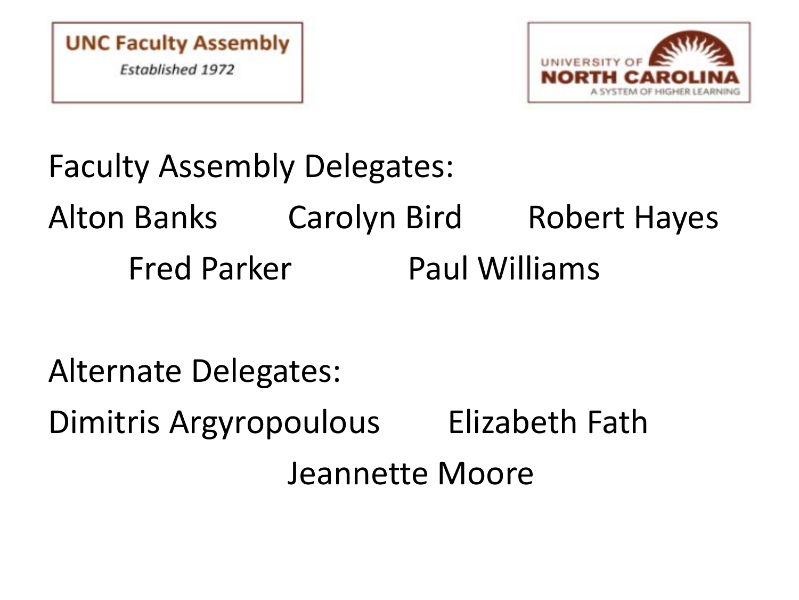



# Faculty Assembly Delegates: Alton Banks Carolyn Bird Robert Hayes Fred Parker Paul Williams

Alternate Delegates:

Dimitris Argyropoulous Elizabeth Fath

Jeannette Moore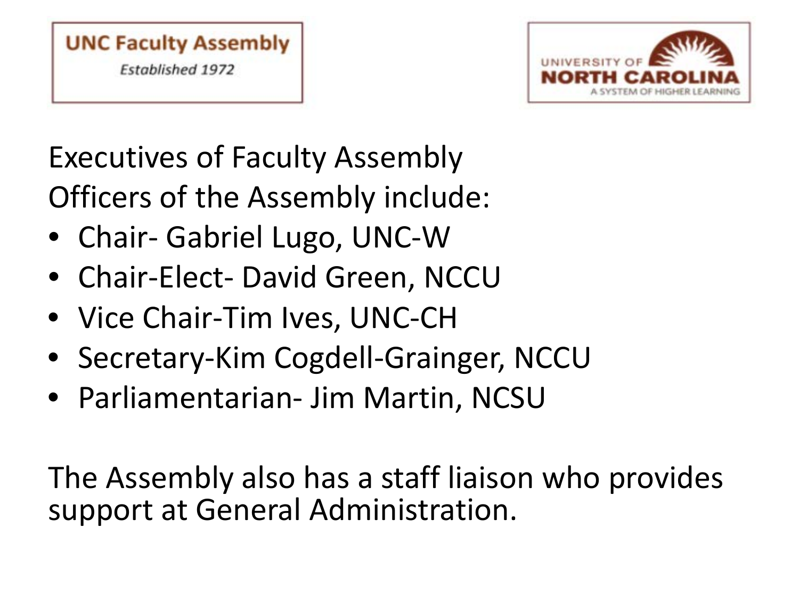



# Executives of Faculty Assembly Officers of the Assembly include:

- Chair- Gabriel Lugo, UNC-W
- Chair-Elect- David Green, NCCU
- Vice Chair-Tim Ives, UNC-CH
- Secretary-Kim Cogdell-Grainger, NCCU
- Parliamentarian- Jim Martin, NCSU

The Assembly also has a staff liaison who provides support at General Administration.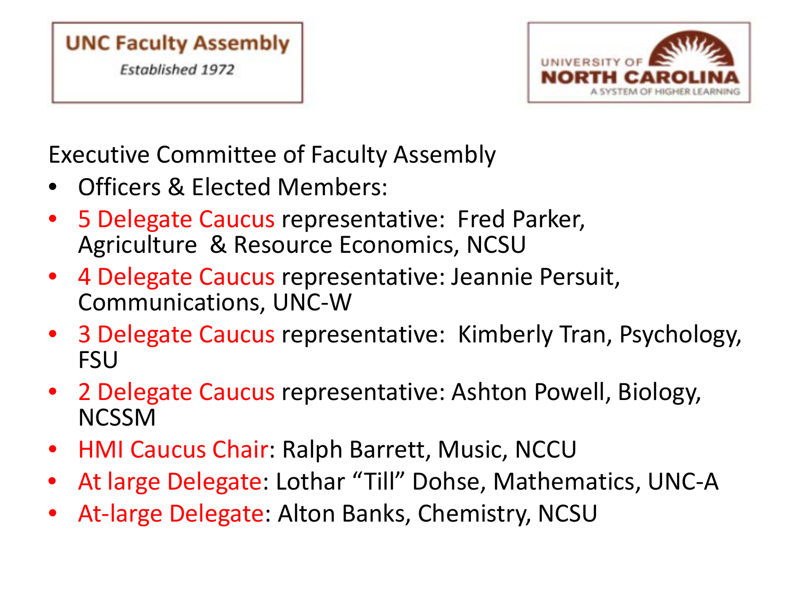



Executive Committee of Faculty Assembly

- Officers & Elected Members:
- 5 Delegate Caucus representative: Fred Parker, Agriculture & Resource Economics, NCSU
- 4 Delegate Caucus representative: Jeannie Persuit, Communications, UNC-W
- 3 Delegate Caucus representative: Kimberly Tran, Psychology, **FSU**
- 2 Delegate Caucus representative: Ashton Powell, Biology, NCSSM
- HMI Caucus Chair: Ralph Barrett, Music, NCCU
- At large Delegate: Lothar "Till" Dohse, Mathematics, UNC-A
- At-large Delegate: Alton Banks, Chemistry, NCSU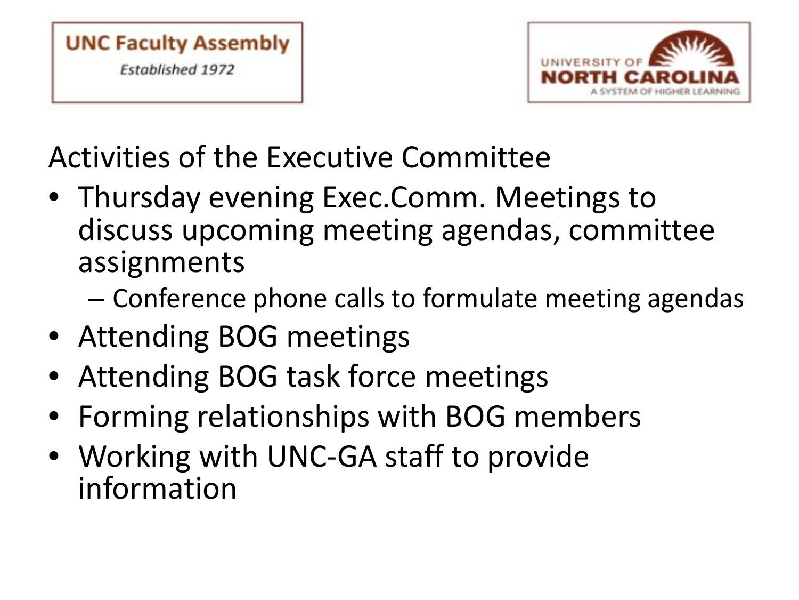



Activities of the Executive Committee

- Thursday evening Exec.Comm. Meetings to discuss upcoming meeting agendas, committee assignments
	- Conference phone calls to formulate meeting agendas
- Attending BOG meetings
- Attending BOG task force meetings
- Forming relationships with BOG members
- Working with UNC-GA staff to provide information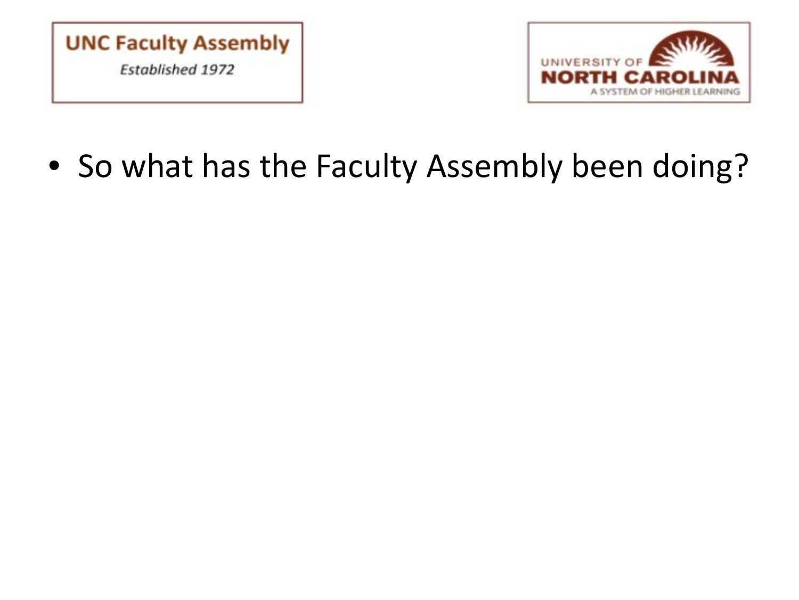



• So what has the Faculty Assembly been doing?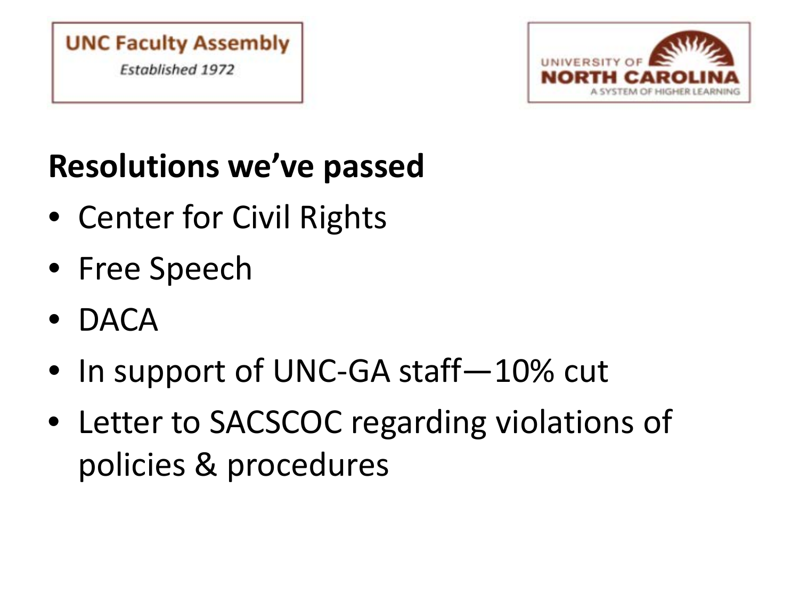



# **Resolutions we've passed**

- Center for Civil Rights
- Free Speech
- DACA
- In support of UNC-GA staff–10% cut
- Letter to SACSCOC regarding violations of policies & procedures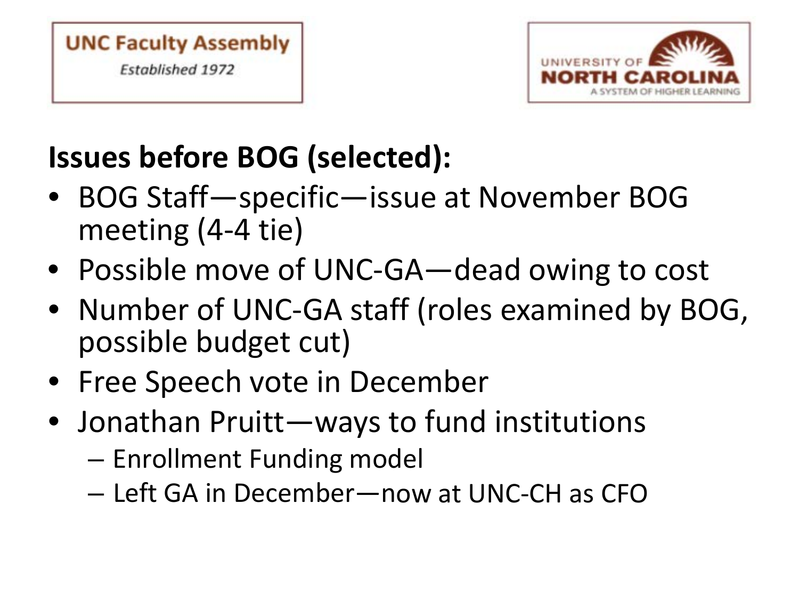



# **Issues before BOG (selected):**

- BOG Staff—specific—issue at November BOG meeting (4-4 tie)
- Possible move of UNC-GA—dead owing to cost
- Number of UNC-GA staff (roles examined by BOG, possible budget cut)
- Free Speech vote in December
- Jonathan Pruitt—ways to fund institutions
	- Enrollment Funding model
	- Left GA in December—now at UNC-CH as CFO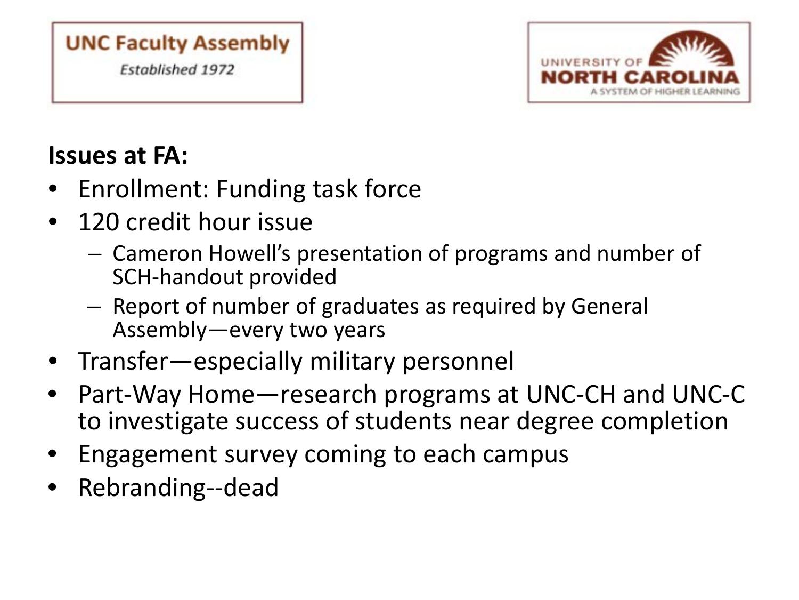### **UNC Faculty Assembly Established 1972**



### **Issues at FA:**

- Enrollment: Funding task force
- 120 credit hour issue
	- Cameron Howell's presentation of programs and number of SCH-handout provided
	- Report of number of graduates as required by General Assembly—every two years
- Transfer—especially military personnel
- Part-Way Home—research programs at UNC-CH and UNC-C to investigate success of students near degree completion
- Engagement survey coming to each campus
- Rebranding--dead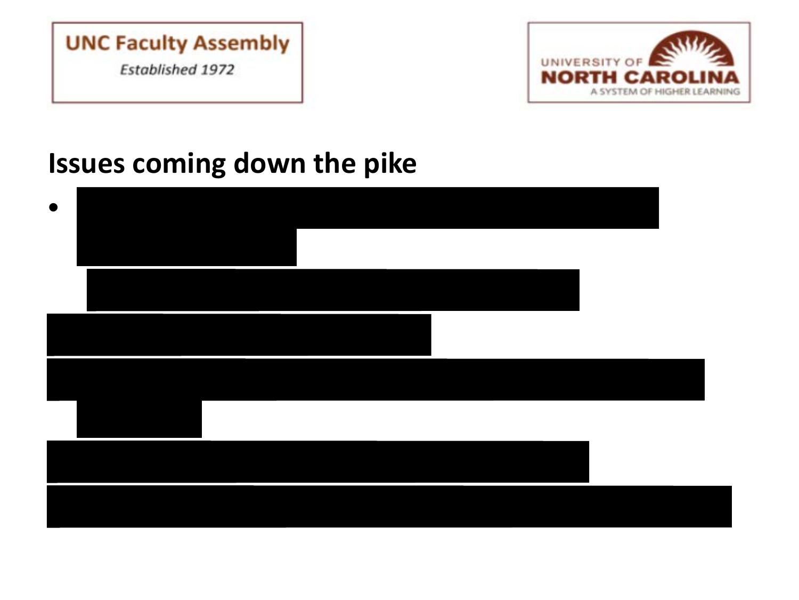



## **Issues coming down the pike**

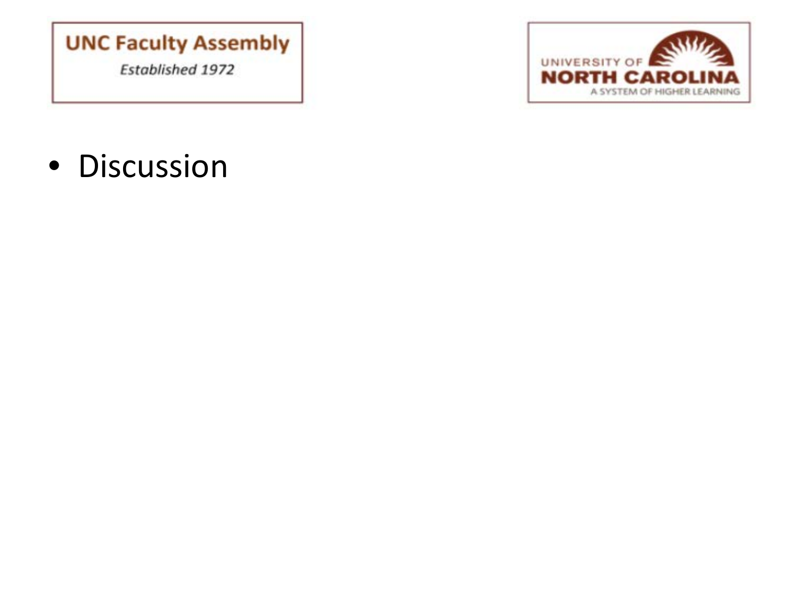### **UNC Faculty Assembly Established 1972**



• Discussion